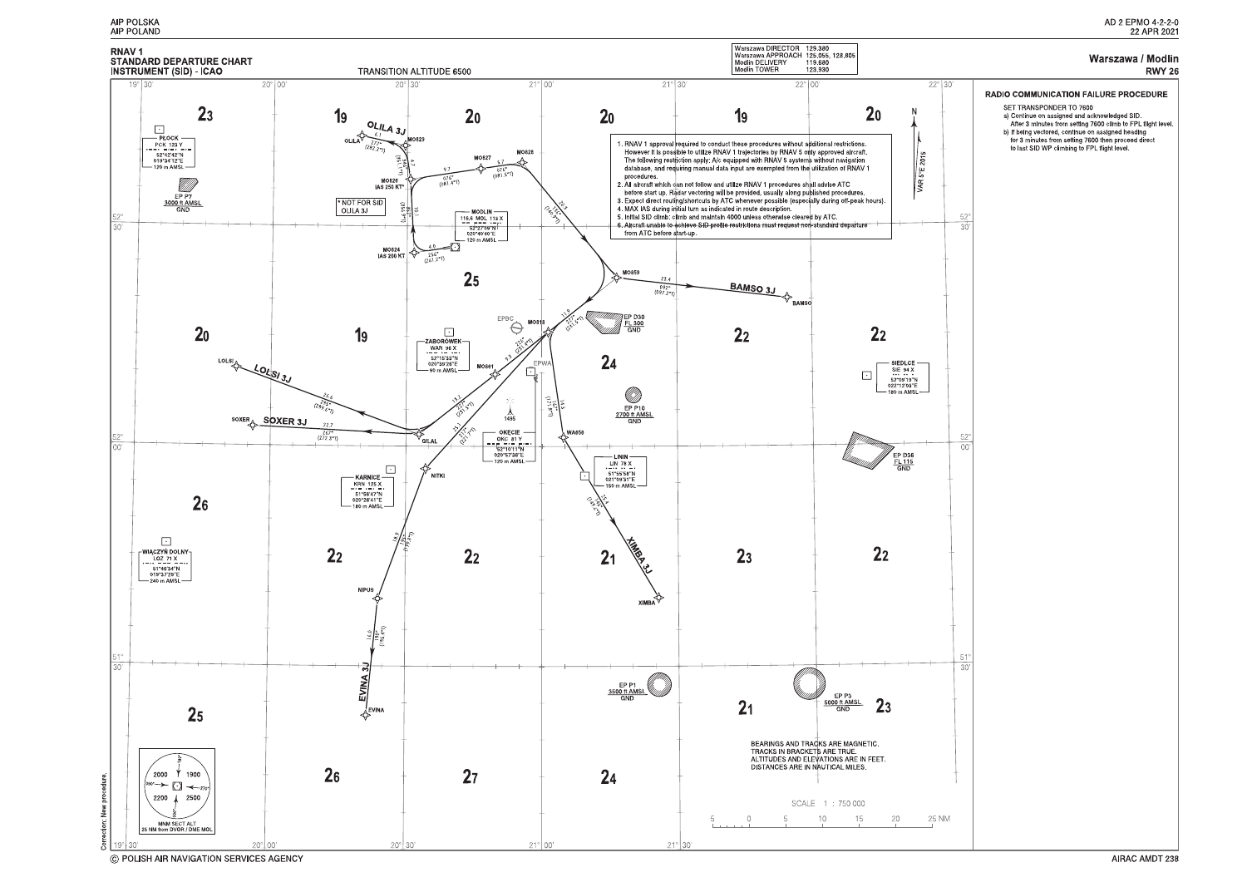

C POLISH AIR NAVIGATION SERVICES AGENCY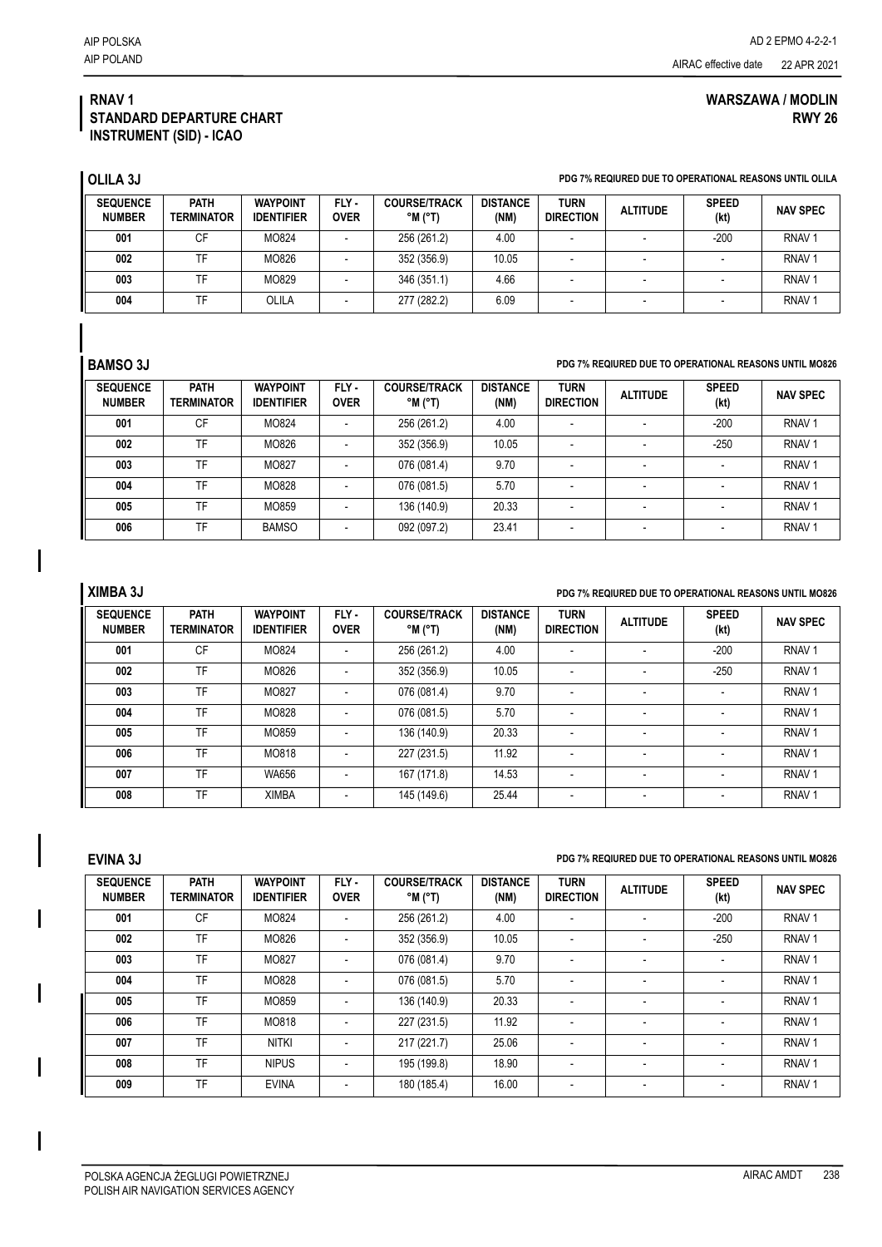### **RNAV 1 STANDARD DEPARTURE CHART INSTRUMENT (SID) - ICAO**

# **WARSZAWA / MODLIN RWY 26**

**OLILA 3J PDG 7% REQIURED DUE TO OPERATIONAL REASONS UNTIL OLILA**

| <b>SEQUENCE</b><br><b>NUMBER</b> | <b>PATH</b><br><b>TERMINATOR</b> | <b>WAYPOINT</b><br><b>IDENTIFIER</b> | FLY-<br><b>OVER</b> | <b>COURSE/TRACK</b><br>$^{\circ}$ M $^{\circ}$ T) | <b>DISTANCE</b><br>(NM) | <b>TURN</b><br><b>DIRECTION</b> | <b>ALTITUDE</b> | <b>SPEED</b><br>(kt) | <b>NAV SPEC</b>   |
|----------------------------------|----------------------------------|--------------------------------------|---------------------|---------------------------------------------------|-------------------------|---------------------------------|-----------------|----------------------|-------------------|
| 001                              | СF                               | MO824                                |                     | 256 (261.2)                                       | 4.00                    |                                 | -               | $-200$               | RNAV <sub>1</sub> |
| 002                              | TF                               | MO826                                |                     | 352 (356.9)                                       | 10.05                   |                                 |                 |                      | RNAV <sub>1</sub> |
| 003                              |                                  | MO829                                |                     | 346 (351.1)                                       | 4.66                    |                                 |                 |                      | RNAV <sub>1</sub> |
| 004                              | ΤΕ                               | OLILA                                |                     | 277 (282.2)                                       | 6.09                    |                                 | -               |                      | RNAV <sub>1</sub> |

### **BAMSO 3J PDG 7% REQIURED DUE TO OPERATIONAL REASONS UNTIL MO826**

| <b>SEQUENCE</b><br><b>NUMBER</b> | <b>PATH</b><br><b>TERMINATOR</b> | <b>WAYPOINT</b><br><b>IDENTIFIER</b> | FLY-<br><b>OVER</b> | <b>COURSE/TRACK</b><br>$^{\circ}$ M $^{\circ}$ T) | <b>DISTANCE</b><br>(NM) | <b>TURN</b><br><b>DIRECTION</b> | <b>ALTITUDE</b>          | <b>SPEED</b><br>(kt) | <b>NAV SPEC</b>   |
|----------------------------------|----------------------------------|--------------------------------------|---------------------|---------------------------------------------------|-------------------------|---------------------------------|--------------------------|----------------------|-------------------|
| 001                              | CF                               | MO824                                |                     | 256 (261.2)                                       | 4.00                    | $\overline{\phantom{a}}$        | $\overline{\phantom{a}}$ | $-200$               | RNAV <sub>1</sub> |
| 002                              | TF                               | MO826                                |                     | 352 (356.9)                                       | 10.05                   | $\overline{\phantom{a}}$        | $\overline{\phantom{a}}$ | $-250$               | RNAV <sub>1</sub> |
| 003                              | TF                               | MO827                                |                     | 076 (081.4)                                       | 9.70                    |                                 | $\overline{\phantom{a}}$ |                      | RNAV <sub>1</sub> |
| 004                              | TF                               | MO828                                |                     | 076 (081.5)                                       | 5.70                    |                                 | $\overline{\phantom{a}}$ |                      | RNAV <sub>1</sub> |
| 005                              | TF                               | MO859                                |                     | 136 (140.9)                                       | 20.33                   | $\overline{\phantom{a}}$        | $\overline{\phantom{a}}$ |                      | RNAV <sub>1</sub> |
| 006                              | <b>TF</b>                        | <b>BAMSO</b>                         |                     | 092 (097.2)                                       | 23.41                   |                                 |                          |                      | RNAV <sub>1</sub> |

# **XIMBA 3J PDG 7% REQIURED DUE TO OPERATIONAL REASONS UNTIL MO826**

| <b>SEQUENCE</b><br><b>NUMBER</b> | <b>PATH</b><br><b>TERMINATOR</b> | <b>WAYPOINT</b><br><b>IDENTIFIER</b> | FLY-<br><b>OVER</b> | <b>COURSE/TRACK</b><br>$^{\circ}$ M ( $^{\circ}$ T) | <b>DISTANCE</b><br>(NM) | <b>TURN</b><br><b>DIRECTION</b> | <b>ALTITUDE</b>          | <b>SPEED</b><br>(kt)     | <b>NAV SPEC</b>   |
|----------------------------------|----------------------------------|--------------------------------------|---------------------|-----------------------------------------------------|-------------------------|---------------------------------|--------------------------|--------------------------|-------------------|
| 001                              | CF                               | MO824                                |                     | 256 (261.2)                                         | 4.00                    | $\overline{\phantom{a}}$        | $\overline{\phantom{0}}$ | $-200$                   | RNAV <sub>1</sub> |
| 002                              | TF                               | MO826                                |                     | 352 (356.9)                                         | 10.05                   |                                 | $\overline{\phantom{0}}$ | $-250$                   | RNAV <sub>1</sub> |
| 003                              | TF                               | MO827                                |                     | 076 (081.4)                                         | 9.70                    | $\overline{\phantom{a}}$        | $\overline{\phantom{a}}$ |                          | RNAV <sub>1</sub> |
| 004                              | TF                               | MO828                                |                     | 076 (081.5)                                         | 5.70                    |                                 | -                        | $\overline{\phantom{a}}$ | RNAV <sub>1</sub> |
| 005                              | TF                               | MO859                                |                     | 136 (140.9)                                         | 20.33                   |                                 | $\overline{\phantom{a}}$ |                          | RNAV <sub>1</sub> |
| 006                              | TF                               | MO818                                |                     | 227 (231.5)                                         | 11.92                   | $\overline{\phantom{a}}$        | $\overline{\phantom{0}}$ | $\overline{\phantom{a}}$ | RNAV <sub>1</sub> |
| 007                              | TF                               | <b>WA656</b>                         |                     | 167 (171.8)                                         | 14.53                   | $\overline{\phantom{a}}$        | $\overline{\phantom{a}}$ | $\overline{\phantom{a}}$ | RNAV <sub>1</sub> |
| 008                              | TF                               | <b>XIMBA</b>                         |                     | 145 (149.6)                                         | 25.44                   | $\overline{\phantom{a}}$        | $\overline{\phantom{a}}$ | $\overline{\phantom{a}}$ | RNAV <sub>1</sub> |

### **EVINA 3J PDG 7% REQIURED DUE TO OPERATIONAL REASONS UNTIL MO826**

| <b>SEQUENCE</b><br><b>NUMBER</b> | <b>PATH</b><br>TERMINATOR | <b>WAYPOINT</b><br><b>IDENTIFIER</b> | FLY-<br><b>OVER</b> | <b>COURSE/TRACK</b><br>$^{\circ}$ M $^{\circ}$ T) | <b>DISTANCE</b><br>(NM) | <b>TURN</b><br><b>DIRECTION</b> | <b>ALTITUDE</b>          | <b>SPEED</b><br>(kt) | <b>NAV SPEC</b>   |
|----------------------------------|---------------------------|--------------------------------------|---------------------|---------------------------------------------------|-------------------------|---------------------------------|--------------------------|----------------------|-------------------|
| 001                              | CF                        | MO824                                |                     | 256 (261.2)                                       | 4.00                    |                                 |                          | -200                 | RNAV <sub>1</sub> |
| 002                              | TF                        | MO826                                |                     | 352 (356.9)                                       | 10.05                   | $\overline{\phantom{a}}$        | $\overline{\phantom{a}}$ | $-250$               | RNAV <sub>1</sub> |
| 003                              | TF                        | MO827                                |                     | 076 (081.4)                                       | 9.70                    |                                 | $\overline{\phantom{a}}$ |                      | RNAV <sub>1</sub> |
| 004                              | TF                        | MO828                                |                     | 076 (081.5)                                       | 5.70                    | $\overline{\phantom{a}}$        | $\overline{\phantom{a}}$ |                      | RNAV <sub>1</sub> |
| 005                              | TF                        | MO859                                |                     | 136 (140.9)                                       | 20.33                   |                                 |                          |                      | RNAV <sub>1</sub> |
| 006                              | TF                        | MO818                                |                     | 227 (231.5)                                       | 11.92                   | $\overline{\phantom{a}}$        | $\overline{\phantom{a}}$ |                      | RNAV <sub>1</sub> |
| 007                              | TF                        | <b>NITKI</b>                         |                     | 217 (221.7)                                       | 25.06                   |                                 | $\overline{\phantom{a}}$ |                      | RNAV <sub>1</sub> |
| 008                              | TF                        | <b>NIPUS</b>                         |                     | 195 (199.8)                                       | 18.90                   | $\overline{\phantom{a}}$        | $\overline{\phantom{a}}$ |                      | RNAV <sub>1</sub> |
| 009                              | TF                        | <b>EVINA</b>                         |                     | 180 (185.4)                                       | 16.00                   | $\overline{\phantom{a}}$        |                          |                      | RNAV <sub>1</sub> |